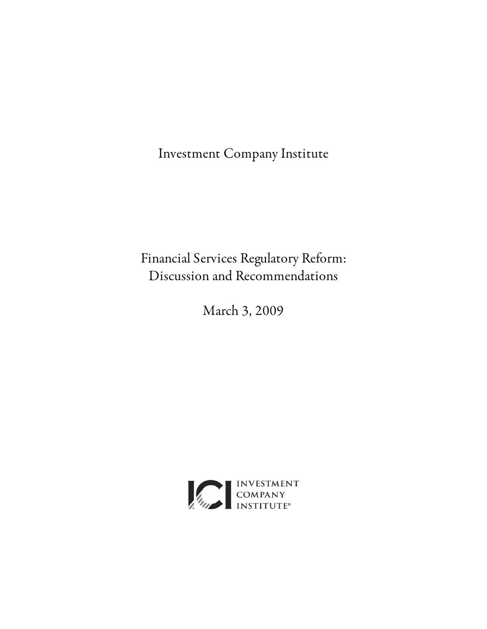Investment Company Institute

Financial Services Regulatory Reform: Discussion and Recommendations

March 3, 2009

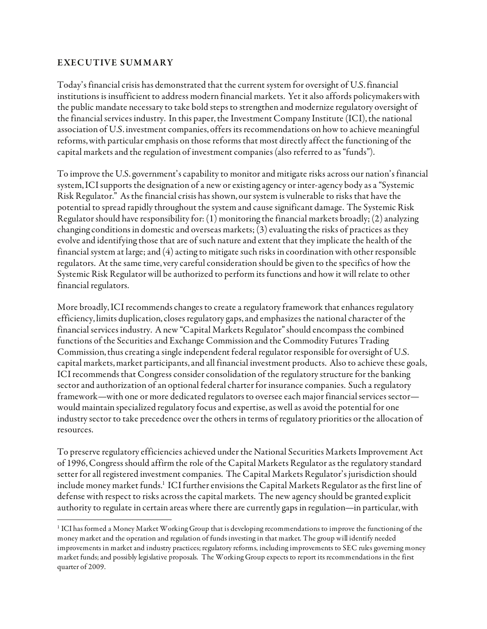#### EXEC UTIVE SUMMARY

 $\overline{a}$ 

Today's financial crisis has demonstrated that the current system for oversight of U.S. financial institutions is insufficient to address modern financial markets. Yet it also affords policymakers with the public mandate necessary to take bold steps to strengthen and modernize regulatory oversight of the financial services industry. In this paper, the Investment Company Institute (ICI), the national association of U.S. investment companies, offers its recommendations on how to achieve meaningful reforms, with particular emphasis on those reforms that most directly affect the functioning of the capital markets and the regulation of investment companies (also referred to as "funds").

To improve the U.S. government's capability to monitor and mitigate risks across our nation's financial system, ICI supports the designation of a new or existing agency or inter-agency body as a "Systemic Risk Regulator." As the financial crisis has shown, our system is vulnerable to risks that have the potential to spread rapidly throughout the system and cause significant damage. The Systemic Risk Regulator should have responsibility for: (1) monitoring the financial markets broadly; (2) analyzing changing conditions in domestic and overseas markets; (3) evaluating the risks of practices as they evolve and identifying those that are of such nature and extent that they implicate the health of the financial system at large; and (4) acting to mitigate such risks in coordination with other responsible regulators. At the same time, very careful consideration should be given to the specifics of how the Systemic Risk Regulator will be authorized to perform its functions and how it will relate to other financial regulators.

More broadly, ICI recommends changes to create a regulatory framework that enhances regulatory efficiency, limits duplication, closes regulatory gaps, and emphasizes the national character of the financial services industry. A new "Capital Markets Regulator" should encompass the combined functions of the Securities and Exchange Commission and the Commodity Futures Trading Commission, thus creating a single independent federal regulator responsible for oversight of U.S. capital markets, market participants, and all financial investment products. Also to achieve these goals, ICI recommends that Congress consider consolidation of the regulatory structure for the banking sector and authorization of an optional federal charter for insurance companies. Such a regulatory framework—with one or more dedicated regulators to oversee each major financial services sector would maintain specialized regulatory focus and expertise, as well as avoid the potential for one industry sector to take precedence over the others in terms of regulatory priorities or the allocation of resources.

To preserve regulatory efficiencies achieved under the National Securities Markets Improvement Act of 1996, Congress should affirm the role of the Capital Markets Regulator as the regulatory standard setter for all registered investment companies. The Capital Markets Regulator's jurisdiction should include money market funds.<sup>1</sup> ICI further envisions the Capital Markets Regulator as the first line of defense with respect to risks across the capital markets. The new agency should be granted explicit authority to regulate in certain areas where there are currently gaps in regulation—in particular, with

<sup>1</sup> ICI has formed a Money Market Working Group that is developing recommendations to improve the functioning of the money market and the operation and regulation of funds investing in that market. The group will identify needed improvements in market and industry practices; regulatory reforms, including improvements to SEC rules governing money market funds; and possibly legislative proposals. The Working Group expects to report its recommendations in the first quarter of 2009.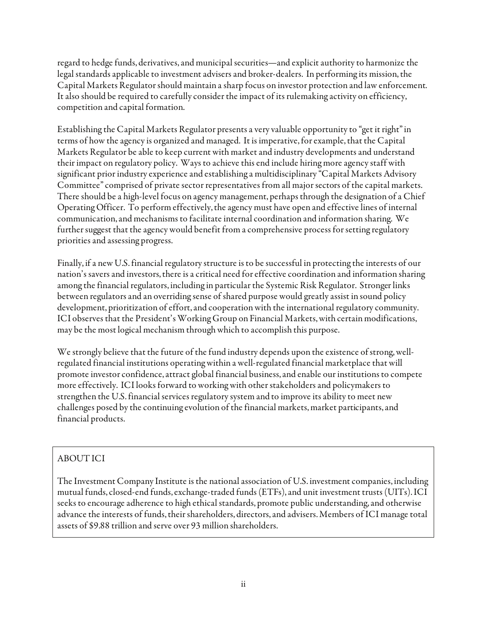regard to hedge funds, derivatives, and municipal securities—and explicit authority to harmonize the legal standards applicable to investment advisers and broker-dealers. In performing its mission, the Capital Markets Regulator should maintain a sharp focus on investor protection and law enforcement. It also should be required to carefully consider the impact of its rulemaking activity on efficiency, competition and capital formation.

Establishing the Capital Markets Regulator presents a very valuable opportunity to "get it right" in terms of how the agency is organized and managed. It is imperative, for example, that the Capital Markets Regulator be able to keep current with market and industry developments and understand their impact on regulatory policy. Ways to achieve this end include hiring more agency staff with significant prior industry experience and establishing a multidisciplinary "Capital Markets Advisory Committee" comprised of private sector representatives from all major sectors of the capital markets. There should be a high-level focus on agency management, perhaps through the designation of a Chief Operating Officer. To perform effectively, the agency must have open and effective lines of internal communication, and mechanisms to facilitate internal coordination and information sharing. We further suggest that the agency would benefit from a comprehensive process for setting regulatory priorities and assessing progress.

Finally, if a new U.S. financial regulatory structure is to be successful in protecting the interests of our nation's savers and investors, there is a critical need for effective coordination and information sharing among the financial regulators, including in particular the Systemic Risk Regulator. Stronger links between regulators and an overriding sense of shared purpose would greatly assist in sound policy development, prioritization of effort, and cooperation with the international regulatory community. ICI observes that the President's Working Group on Financial Markets, with certain modifications, may be the most logical mechanism through which to accomplish this purpose.

We strongly believe that the future of the fund industry depends upon the existence of strong, wellregulated financial institutions operating within a well-regulated financial marketplace that will promote investor confidence, attract global financial business, and enable our institutions to compete more effectively. ICI looks forward to working with other stakeholders and policymakers to strengthen the U.S. financial services regulatory system and to improve its ability to meet new challenges posed by the continuing evolution of the financial markets, market participants, and financial products.

# ABOUT ICI

The Investment Company Institute is the national association of U.S. investment companies, including mutual funds, closed-end funds, exchange-traded funds (ETFs), and unit investment trusts (UITs). ICI seeks to encourage adherence to high ethical standards, promote public understanding, and otherwise advance the interests of funds, their shareholders, directors, and advisers. Members of ICI manage total assets of \$9.88 trillion and serve over 93 million shareholders.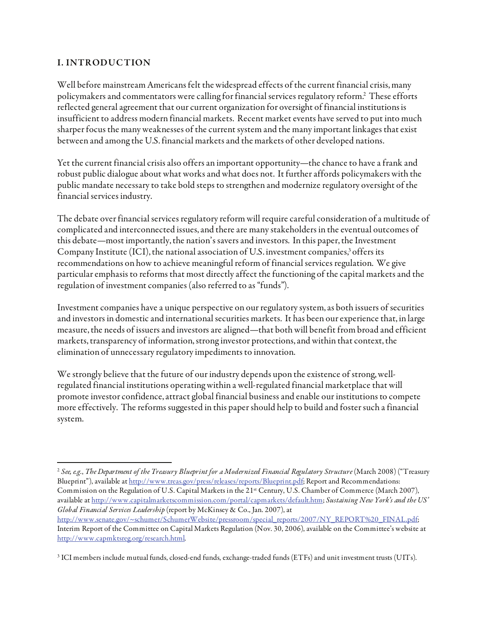### I. INTRODUC TION

 $\overline{a}$ 

Well before mainstream Americans felt the widespread effects of the current financial crisis, many policymakers and commentators were calling for financial services regulatory reform.2 These efforts reflected general agreement that our current organization for oversight of financial institutions is insufficient to address modern financial markets. Recent market events have served to put into much sharper focus the many weaknesses of the current system and the many important linkages that exist between and among the U.S. financial markets and the markets of other developed nations.

Yet the current financial crisis also offers an important opportunity—the chance to have a frank and robust public dialogue about what works and what does not. It further affords policymakers with the public mandate necessary to take bold steps to strengthen and modernize regulatory oversight of the financial services industry.

The debate over financial services regulatory reform will require careful consideration of a multitude of complicated and interconnected issues, and there are many stakeholders in the eventual outcomes of this debate—most importantly, the nation's savers and investors. In this paper, the Investment Company Institute (ICI), the national association of U.S. investment companies,<sup>3</sup> offers its recommendations on how to achieve meaningful reform of financial services regulation. We give particular emphasis to reforms that most directly affect the functioning of the capital markets and the regulation of investment companies (also referred to as "funds").

Investment companies have a unique perspective on our regulatory system, as both issuers of securities and investors in domestic and international securities markets. It has been our experience that, in large measure, the needs of issuers and investors are aligned—that both will benefit from broad and efficient markets, transparency of information, strong investor protections, and within that context, the elimination of unnecessary regulatory impediments to innovation.

We strongly believe that the future of our industry depends upon the existence of strong, wellregulated financial institutions operating within a well-regulated financial marketplace that will promote investor confidence, attract global financial business and enable our institutions to compete more effectively. The reforms suggested in this paper should help to build and foster such a financial system.

 $2$  See, e.g., The Department of the Treasury Blueprint for a Modernized Financial Regulatory Structure (March 2008) ("Treasury Blueprint"), available at http://www.treas.gov/press/releases/reports/Blueprint.pdf; Report and Recommendations: Commission on the Regulation of U.S. Capital Markets in the 21<sup>st</sup> Century, U.S. Chamber of Commerce (March 2007), available at http://www.capitalmarketscommission.com/portal/capmarkets/default.htm; Sustaining New York's and the US' Global Financial Services Leadership (report by McKinsey & Co., Jan. 2007), at http://www.senate.gov/~schumer/SchumerWebsite/pressroom/special\_reports/2007/NY\_REPORT%20\_FINAL.pdf; Interim Report of the Committee on Capital Markets Regulation (Nov. 30, 2006), available on the Committee's website at http://www.capmktsreg.org/research.html.

 $^3$  ICI members include mutual funds, closed-end funds, exchange-traded funds (ETFs) and unit investment trusts (UITs).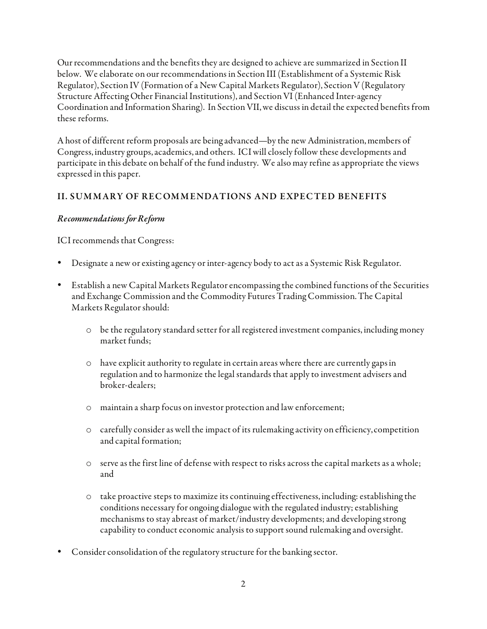Our recommendations and the benefits they are designed to achieve are summarized in Section II below. We elaborate on our recommendations in Section III (Establishment of a Systemic Risk Regulator), Section IV (Formation of a New Capital Markets Regulator), Section V (Regulatory Structure Affecting Other Financial Institutions), and Section VI (Enhanced Inter-agency Coordination and Information Sharing). In Section VII, we discuss in detail the expected benefits from these reforms.

A host of different reform proposals are being advanced—by the new Administration, members of Congress, industry groups, academics, and others. ICI will closely follow these developments and participate in this debate on behalf of the fund industry. We also may refine as appropriate the views expressed in this paper.

## II. SUMMARY OF RECOMMENDATIONS AND EXPECTED BENEFITS

### Recommendations for Reform

ICI recommends that Congress:

- Designate a new or existing agency or inter-agency body to act as a Systemic Risk Regulator.
- Establish a new Capital Markets Regulator encompassing the combined functions of the Securities and Exchange Commission and the Commodity Futures Trading Commission. The Capital Markets Regulator should:
	- $\circ$  be the regulatory standard setter for all registered investment companies, including money market funds;
	- $\circ$  have explicit authority to regulate in certain areas where there are currently gaps in regulation and to harmonize the legal standards that apply to investment advisers and broker-dealers;
	- o maintain a sharp focus on investor protection and law enforcement;
	- $\circ$  carefully consider as well the impact of its rulemaking activity on efficiency, competition and capital formation;
	- o serve as the first line of defense with respect to risks across the capital markets as a whole; and
	- o take proactive steps to maximize its continuing effectiveness, including: establishing the conditions necessary for ongoing dialogue with the regulated industry; establishing mechanisms to stay abreast of market/industry developments; and developing strong capability to conduct economic analysis to support sound rulemaking and oversight.
- Consider consolidation of the regulatory structure for the banking sector.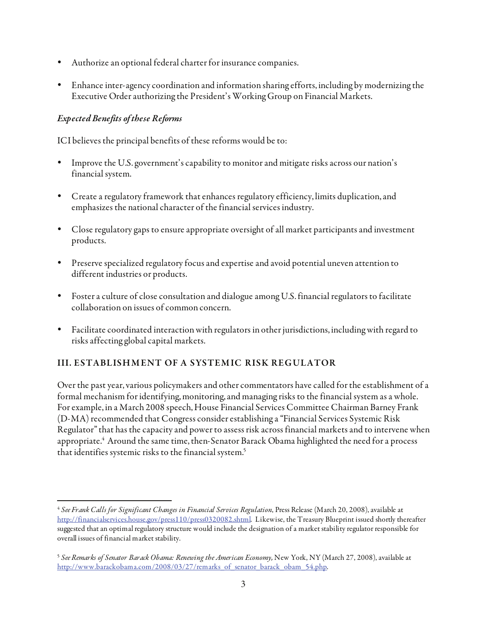- Authorize an optional federal charter for insurance companies.
- Enhance inter-agency coordination and information sharing efforts, including by modernizing the Executive Order authorizing the President's Working Group on Financial Markets.

### Expected Benefits of these Reforms

ICI believes the principal benefits of these reforms would be to:

- Improve the U.S. government's capability to monitor and mitigate risks across our nation's financial system.
- Create a regulatory framework that enhances regulatory efficiency, limits duplication, and emphasizes the national character of the financial services industry.
- Close regulatory gaps to ensure appropriate oversight of all market participants and investment products.
- Preserve specialized regulatory focus and expertise and avoid potential uneven attention to different industries or products.
- Foster a culture of close consultation and dialogue among U.S. financial regulators to facilitate collaboration on issues of common concern.
- Facilitate coordinated interaction with regulators in other jurisdictions, including with regard to risks affecting global capital markets.

# III. ESTABLISHMENT OF A SYSTEMIC RISK REGULATOR

Over the past year, various policymakers and other commentators have called for the establishment of a formal mechanism for identifying, monitoring, and managing risks to the financial system as a whole. For example, in a March 2008 speech, House Financial Services Committee Chairman Barney Frank (D-MA) recommended that Congress consider establishing a "Financial Services Systemic Risk Regulator" that has the capacity and power to assess risk across financial markets and to intervene when appropriate.<sup>4</sup> Around the same time, then-Senator Barack Obama highlighted the need for a process that identifies systemic risks to the financial system.<sup>5</sup>

 $\overline{a}$ <sup>4</sup> See Frank Calls for Significant Changes in Financial Services Regulation, Press Release (March 20, 2008), available at http://financialservices.house.gov/press110/press0320082.shtml. Likewise, the Treasury Blueprint issued shortly thereafter suggested that an optimal regulatory structure would include the designation of a market stability regulator responsible for overall issues of financial market stability.

<sup>&</sup>lt;sup>5</sup> See Remarks of Senator Barack Obama: Renewing the American Economy, New York, NY (March 27, 2008), available at http://www.barackobama.com/2008/03/27/remarks\_of\_senator\_barack\_obam\_54.php.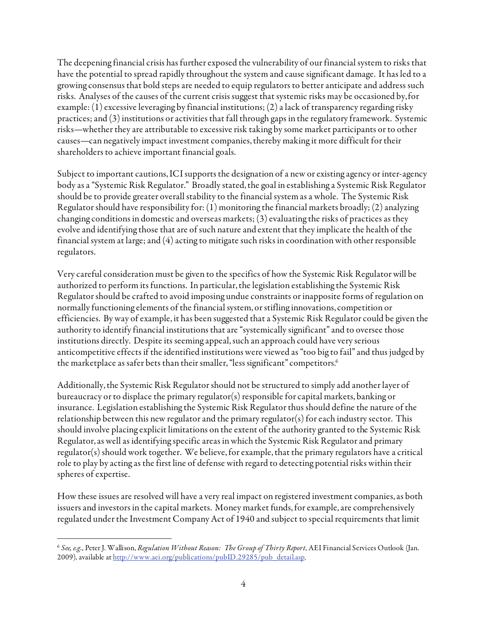The deepening financial crisis has further exposed the vulnerability of our financial system to risks that have the potential to spread rapidly throughout the system and cause significant damage. It has led to a growing consensus that bold steps are needed to equip regulators to better anticipate and address such risks. Analyses of the causes of the current crisis suggest that systemic risks may be occasioned by, for example: (1) excessive leveraging by financial institutions; (2) a lack of transparency regarding risky practices; and (3) institutions or activities that fall through gaps in the regulatory framework. Systemic risks—whether they are attributable to excessive risk taking by some market participants or to other causes—can negatively impact investment companies, thereby making it more difficult for their shareholders to achieve important financial goals.

Subject to important cautions, ICI supports the designation of a new or existing agency or inter-agency body as a "Systemic Risk Regulator." Broadly stated, the goal in establishing a Systemic Risk Regulator should be to provide greater overall stability to the financial system as a whole. The Systemic Risk Regulator should have responsibility for: (1) monitoring the financial markets broadly; (2) analyzing changing conditions in domestic and overseas markets; (3) evaluating the risks of practices as they evolve and identifying those that are of such nature and extent that they implicate the health of the financial system at large; and (4) acting to mitigate such risks in coordination with other responsible regulators.

Very careful consideration must be given to the specifics of how the Systemic Risk Regulator will be authorized to perform its functions. In particular, the legislation establishing the Systemic Risk Regulator should be crafted to avoid imposing undue constraints or inapposite forms of regulation on normally functioning elements of the financial system, or stifling innovations, competition or efficiencies. By way of example, it has been suggested that a Systemic Risk Regulator could be given the authority to identify financial institutions that are "systemically significant" and to oversee those institutions directly. Despite its seeming appeal, such an approach could have very serious anticompetitive effects if the identified institutions were viewed as "too big to fail" and thus judged by the marketplace as safer bets than their smaller, "less significant" competitors.<sup>6</sup>

Additionally, the Systemic Risk Regulator should not be structured to simply add another layer of bureaucracy or to displace the primary regulator(s) responsible for capital markets, banking or insurance. Legislation establishing the Systemic Risk Regulator thus should define the nature of the relationship between this new regulator and the primary regulator(s) for each industry sector. This should involve placing explicit limitations on the extent of the authority granted to the Systemic Risk Regulator, as well as identifying specific areas in which the Systemic Risk Regulator and primary regulator(s) should work together. We believe, for example, that the primary regulators have a critical role to play by acting as the first line of defense with regard to detecting potential risks within their spheres of expertise.

How these issues are resolved will have a very real impact on registered investment companies, as both issuers and investors in the capital markets. Money market funds, for example, are comprehensively regulated under the Investment Company Act of 1940 and subject to special requirements that limit

<sup>-</sup> $6$  See, e.g., Peter J. Wallison, Regulation Without Reason: The Group of Thirty Report, AEI Financial Services Outlook (Jan. 2009), available at http://www.aei.org/publications/pubID.29285/pub\_detail.asp.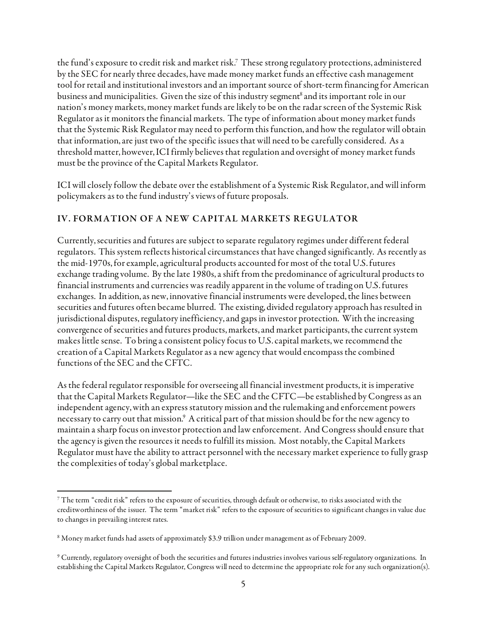the fund's exposure to credit risk and market risk.7 These strong regulatory protections, administered by the SEC for nearly three decades, have made money market funds an effective cash management tool for retail and institutional investors and an important source of short-term financing for American business and municipalities. Given the size of this industry segment<sup>8</sup> and its important role in our nation's money markets, money market funds are likely to be on the radar screen of the Systemic Risk Regulator as it monitors the financial markets. The type of information about money market funds that the Systemic Risk Regulator may need to perform this function, and how the regulator will obtain that information, are just two of the specific issues that will need to be carefully considered. As a threshold matter, however, ICI firmly believes that regulation and oversight of money market funds must be the province of the Capital Markets Regulator.

ICI will closely follow the debate over the establishment of a Systemic Risk Regulator, and will inform policymakers as to the fund industry's views of future proposals.

### IV. FORMATION OF A NEW CAPITAL MARKETS REGULATOR

Currently, securities and futures are subject to separate regulatory regimes under different federal regulators. This system reflects historical circumstances that have changed significantly. As recently as the mid-1970s, for example, agricultural products accounted for most of the total U.S. futures exchange trading volume. By the late 1980s, a shift from the predominance of agricultural products to financial instruments and currencies was readily apparent in the volume of trading on U.S. futures exchanges. In addition, as new, innovative financial instruments were developed, the lines between securities and futures often became blurred. The existing, divided regulatory approach has resulted in jurisdictional disputes, regulatory inefficiency, and gaps in investor protection. With the increasing convergence of securities and futures products, markets, and market participants, the current system makes little sense. To bring a consistent policy focus to U.S. capital markets, we recommend the creation of a Capital Markets Regulator as a new agency that would encompass the combined functions of the SEC and the CFTC.

As the federal regulator responsible for overseeing all financial investment products, it is imperative that the Capital Markets Regulator—like the SEC and the CFTC—be established by Congress as an independent agency, with an express statutory mission and the rulemaking and enforcement powers necessary to carry out that mission.<sup>9</sup> A critical part of that mission should be for the new agency to maintain a sharp focus on investor protection and law enforcement. And Congress should ensure that the agency is given the resources it needs to fulfill its mission. Most notably, the Capital Markets Regulator must have the ability to attract personnel with the necessary market experience to fully grasp the complexities of today's global marketplace.

<sup>-</sup> $^7$  The term "credit risk" refers to the exposure of securities, through default or otherwise, to risks associated with the creditworthiness of the issuer. The term "market risk" refers to the exposure of securities to significant changes in value due to changes in prevailing interest rates.

<sup>8</sup> Money market funds had assets of approximately \$3.9 trillion under management as of February 2009.

 $^9$  Currently, regulatory oversight of both the securities and futures industries involves various self-regulatory organizations. In establishing the Capital Markets Regulator, Congress will need to determine the appropriate role for any such organization(s).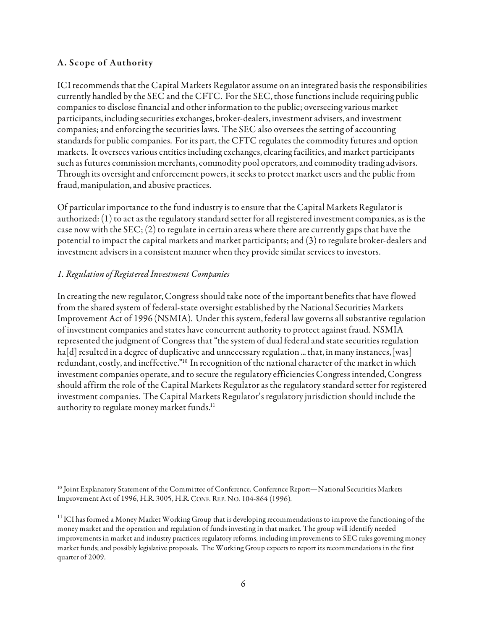#### A. Scope of Authority

ICI recommends that the Capital Markets Regulator assume on an integrated basis the responsibilities currently handled by the SEC and the CFTC. For the SEC, those functions include requiring public companies to disclose financial and other information to the public; overseeing various market participants, including securities exchanges, broker-dealers, investment advisers, and investment companies; and enforcing the securities laws. The SEC also oversees the setting of accounting standards for public companies. For its part, the CFTC regulates the commodity futures and option markets. It oversees various entities including exchanges, clearing facilities, and market participants such as futures commission merchants, commodity pool operators, and commodity trading advisors. Through its oversight and enforcement powers, it seeks to protect market users and the public from fraud, manipulation, and abusive practices.

Of particular importance to the fund industry is to ensure that the Capital Markets Regulator is authorized: (1) to act as the regulatory standard setter for all registered investment companies, as is the case now with the SEC; (2) to regulate in certain areas where there are currently gaps that have the potential to impact the capital markets and market participants; and (3) to regulate broker-dealers and investment advisers in a consistent manner when they provide similar services to investors.

#### 1. Regulation of Registered Investment Companies

In creating the new regulator, Congress should take note of the important benefits that have flowed from the shared system of federal-state oversight established by the National Securities Markets Improvement Act of 1996 (NSMIA). Under this system, federal law governs all substantive regulation of investment companies and states have concurrent authority to protect against fraud. NSMIA represented the judgment of Congress that "the system of dual federal and state securities regulation  $haf[d]$  resulted in a degree of duplicative and unnecessary regulation ... that, in many instances, [was] redundant, costly, and ineffective."10 In recognition of the national character of the market in which investment companies operate, and to secure the regulatory efficiencies Congress intended, Congress should affirm the role of the Capital Markets Regulator as the regulatory standard setter for registered investment companies. The Capital Markets Regulator's regulatory jurisdiction should include the authority to regulate money market funds.<sup>11</sup>

 $\overline{a}$ 10 Joint Explanatory Statement of the Committee of Conference, Conference Report—National Securities Markets Improvement Act of 1996, H.R. 3005, H.R. CONF. REP. NO. 104-864 (1996).

<sup>&</sup>lt;sup>11</sup> ICI has formed a Money Market Working Group that is developing recommendations to improve the functioning of the money market and the operation and regulation of funds investing in that market. The group will identify needed improvements in market and industry practices; regulatory reforms, including improvements to SEC rules governing money market funds; and possibly legislative proposals. The Working Group expects to report its recommendations in the first quarter of 2009.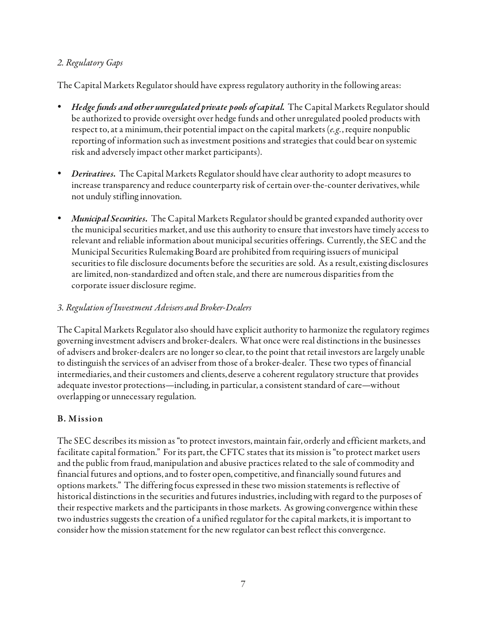### 2. Regulatory Gaps

The Capital Markets Regulator should have express regulatory authority in the following areas:

- *Hedge funds and other unregulated private pools of capital*. The Capital Markets Regulator should be authorized to provide oversight over hedge funds and other unregulated pooled products with respect to, at a minimum, their potential impact on the capital markets  $(e.g.,$  require nonpublic reporting of information such as investment positions and strategies that could bear on systemic risk and adversely impact other market participants).
- **Derivatives.** The Capital Markets Regulator should have clear authority to adopt measures to increase transparency and reduce counterparty risk of certain over-the-counter derivatives, while not unduly stifling innovation.
- *Municipal Securities.* The Capital Markets Regulator should be granted expanded authority over the municipal securities market, and use this authority to ensure that investors have timely access to relevant and reliable information about municipal securities offerings. Currently, the SEC and the Municipal Securities Rulemaking Board are prohibited from requiring issuers of municipal securities to file disclosure documents before the securities are sold. As a result, existing disclosures are limited, non-standardized and often stale, and there are numerous disparities from the corporate issuer disclosure regime.

### 3. Regulation of Investment Advisers and Broker-Dealers

The Capital Markets Regulator also should have explicit authority to harmonize the regulatory regimes governing investment advisers and broker-dealers. What once were real distinctions in the businesses of advisers and broker-dealers are no longer so clear, to the point that retail investors are largely unable to distinguish the services of an adviser from those of a broker-dealer. These two types of financial intermediaries, and their customers and clients, deserve a coherent regulatory structure that provides adequate investor protections—including, in particular, a consistent standard of care—without overlapping or unnecessary regulation.

## B. M ission

The SEC describes its mission as "to protect investors, maintain fair, orderly and efficient markets, and facilitate capital formation." For its part, the CFTC states that its mission is "to protect market users and the public from fraud, manipulation and abusive practices related to the sale of commodity and financial futures and options, and to foster open, competitive, and financially sound futures and options markets." The differing focus expressed in these two mission statements is reflective of historical distinctions in the securities and futures industries, including with regard to the purposes of their respective markets and the participants in those markets. As growing convergence within these two industries suggests the creation of a unified regulator for the capital markets, it is important to consider how the mission statement for the new regulator can best reflect this convergence.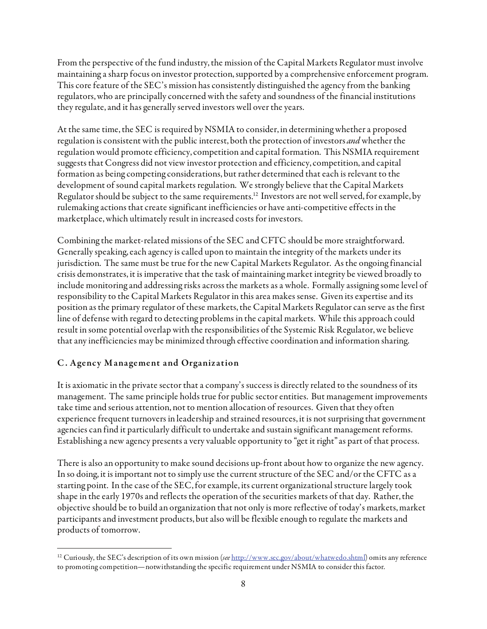From the perspective of the fund industry, the mission of the Capital Markets Regulator must involve maintaining a sharp focus on investor protection, supported by a comprehensive enforcement program. This core feature of the SEC's mission has consistently distinguished the agency from the banking regulators, who are principally concerned with the safety and soundness of the financial institutions they regulate, and it has generally served investors well over the years.

At the same time, the SEC is required by NSMIA to consider, in determining whether a proposed regulation is consistent with the public interest, both the protection of investors *and* whether the regulation would promote efficiency, competition and capital formation. This NSMIA requirement suggests that Congress did not view investor protection and efficiency, competition, and capital formation as being competing considerations, but rather determined that each is relevant to the development of sound capital markets regulation. We strongly believe that the Capital Markets Regulator should be subject to the same requirements.<sup>12</sup> Investors are not well served, for example, by rulemaking actions that create significant inefficiencies or have anti-competitive effects in the marketplace, which ultimately result in increased costs for investors.

Combining the market-related missions of the SEC and CFTC should be more straightforward. Generally speaking, each agency is called upon to maintain the integrity of the markets under its jurisdiction. The same must be true for the new Capital Markets Regulator. As the ongoing financial crisis demonstrates, it is imperative that the task of maintaining market integrity be viewed broadly to include monitoring and addressing risks across the markets as a whole. Formally assigning some level of responsibility to the Capital Markets Regulator in this area makes sense. Given its expertise and its position as the primary regulator of these markets, the Capital Markets Regulator can serve as the first line of defense with regard to detecting problems in the capital markets. While this approach could result in some potential overlap with the responsibilities of the Systemic Risk Regulator, we believe that any inefficiencies may be minimized through effective coordination and information sharing.

## C . Agency M anagement and Organization

It is axiomatic in the private sector that a company's success is directly related to the soundness of its management. The same principle holds true for public sector entities. But management improvements take time and serious attention, not to mention allocation of resources. Given that they often experience frequent turnovers in leadership and strained resources, it is not surprising that government agencies can find it particularly difficult to undertake and sustain significant management reforms. Establishing a new agency presents a very valuable opportunity to "get it right" as part of that process.

There is also an opportunity to make sound decisions up-front about how to organize the new agency. In so doing, it is important not to simply use the current structure of the SEC and/or the CFTC as a starting point. In the case of the SEC, for example, its current organizational structure largely took shape in the early 1970s and reflects the operation of the securities markets of that day. Rather, the objective should be to build an organization that not only is more reflective of today's markets, market participants and investment products, but also will be flexible enough to regulate the markets and products of tomorrow.

 $\overline{a}$ <sup>12</sup> Curiously, the SEC's description of its own mission (see http://www.sec.gov/about/whatwedo.shtml) omits any reference to promoting competition—notwithstanding the specific requirement under NSMIA to consider this factor.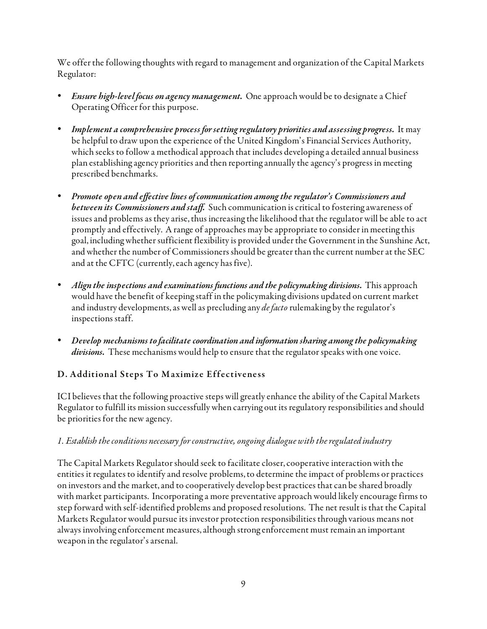We offer the following thoughts with regard to management and organization of the Capital Markets Regulator:

- *Ensure high-level focus on agency management.* One approach would be to designate a Chief Operating Officer for this purpose.
- Implement a comprehensive process for setting regulatory priorities and assessing progress. It may be helpful to draw upon the experience of the United Kingdom's Financial Services Authority, which seeks to follow a methodical approach that includes developing a detailed annual business plan establishing agency priorities and then reporting annually the agency's progress in meeting prescribed benchmarks.
- Promote open and effective lines of communication among the regulator's Commissioners and between its Commissioners and staff. Such communication is critical to fostering awareness of issues and problems as they arise, thus increasing the likelihood that the regulator will be able to act promptly and effectively. A range of approaches may be appropriate to consider in meeting this goal, including whether sufficient flexibility is provided under the Government in the Sunshine Act, and whether the number of Commissioners should be greater than the current number at the SEC and at the CFTC (currently, each agency has five).
- Align the inspections and examinations functions and the policymaking divisions. This approach would have the benefit of keeping staff in the policymaking divisions updated on current market and industry developments, as well as precluding any *de facto* rulemaking by the regulator's inspections staff.
- Develop mechanisms to facilitate coordination and information sharing among the policymaking divisions. These mechanisms would help to ensure that the regulator speaks with one voice.

# D. Additional Steps To Maximize Effectiveness

ICI believes that the following proactive steps will greatly enhance the ability of the Capital Markets Regulator to fulfill its mission successfully when carrying out its regulatory responsibilities and should be priorities for the new agency.

## 1. Establish the conditions necessary for constructive, ongoing dialogue with the regulated industry

The Capital Markets Regulator should seek to facilitate closer, cooperative interaction with the entities it regulates to identify and resolve problems, to determine the impact of problems or practices on investors and the market, and to cooperatively develop best practices that can be shared broadly with market participants. Incorporating a more preventative approach would likely encourage firms to step forward with self-identified problems and proposed resolutions. The net result is that the Capital Markets Regulator would pursue its investor protection responsibilities through various means not always involving enforcement measures, although strong enforcement must remain an important weapon in the regulator's arsenal.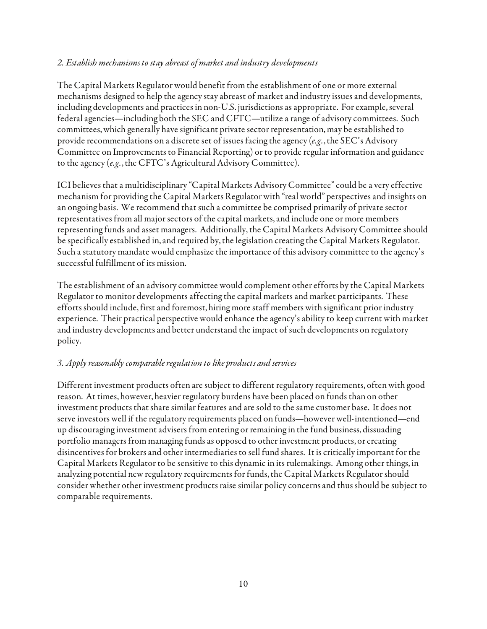### 2. Establish mechanisms to stay abreast of market and industry developments

The Capital Markets Regulator would benefit from the establishment of one or more external mechanisms designed to help the agency stay abreast of market and industry issues and developments, including developments and practices in non-U.S. jurisdictions as appropriate. For example, several federal agencies—including both the SEC and CFTC—utilize a range of advisory committees. Such committees, which generally have significant private sector representation, may be established to provide recommendations on a discrete set of issues facing the agency  $(e.g., the SEC's Advisory$ Committee on Improvements to Financial Reporting) or to provide regular information and guidance to the agency (e.g., the CFTC's Agricultural Advisory Committee).

ICI believes that a multidisciplinary "Capital Markets Advisory Committee" could be a very effective mechanism for providing the Capital Markets Regulator with "real world" perspectives and insights on an ongoing basis. We recommend that such a committee be comprised primarily of private sector representatives from all major sectors of the capital markets, and include one or more members representing funds and asset managers. Additionally, the Capital Markets Advisory Committee should be specifically established in, and required by, the legislation creating the Capital Markets Regulator. Such a statutory mandate would emphasize the importance of this advisory committee to the agency's successful fulfillment of its mission.

The establishment of an advisory committee would complement other efforts by the Capital Markets Regulator to monitor developments affecting the capital markets and market participants. These efforts should include, first and foremost, hiring more staff members with significant prior industry experience. Their practical perspective would enhance the agency's ability to keep current with market and industry developments and better understand the impact of such developments on regulatory policy.

### 3. Apply reasonably comparable regulation to like products and services

Different investment products often are subject to different regulatory requirements, often with good reason. At times, however, heavier regulatory burdens have been placed on funds than on other investment products that share similar features and are sold to the same customer base. It does not serve investors well if the regulatory requirements placed on funds—however well-intentioned—end up discouraging investment advisers from entering or remaining in the fund business, dissuading portfolio managers from managing funds as opposed to other investment products, or creating disincentives for brokers and other intermediaries to sell fund shares. It is critically important for the Capital Markets Regulator to be sensitive to this dynamic in its rulemakings. Among other things, in analyzing potential new regulatory requirements for funds, the Capital Markets Regulator should consider whether other investment products raise similar policy concerns and thus should be subject to comparable requirements.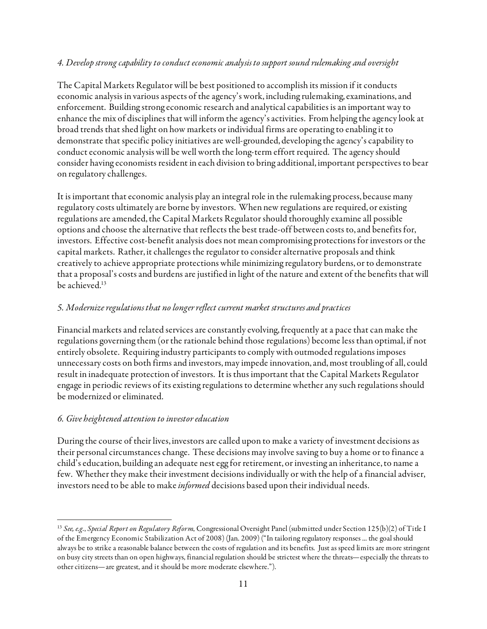### 4. Develop strong capability to conduct economic analysis to support sound rulemaking and oversight

The Capital Markets Regulator will be best positioned to accomplish its mission if it conducts economic analysis in various aspects of the agency's work, including rulemaking, examinations, and enforcement. Building strong economic research and analytical capabilities is an important way to enhance the mix of disciplines that will inform the agency's activities. From helping the agency look at broad trends that shed light on how markets or individual firms are operating to enabling it to demonstrate that specific policy initiatives are well-grounded, developing the agency's capability to conduct economic analysis will be well worth the long-term effort required. The agency should consider having economists resident in each division to bring additional, important perspectives to bear on regulatory challenges.

It is important that economic analysis play an integral role in the rulemaking process, because many regulatory costs ultimately are borne by investors. When new regulations are required, or existing regulations are amended, the Capital Markets Regulator should thoroughly examine all possible options and choose the alternative that reflects the best trade-off between costs to, and benefits for, investors. Effective cost-benefit analysis does not mean compromising protections for investors or the capital markets. Rather, it challenges the regulator to consider alternative proposals and think creatively to achieve appropriate protections while minimizing regulatory burdens, or to demonstrate that a proposal's costs and burdens are justified in light of the nature and extent of the benefits that will be achieved.<sup>13</sup>

### 5. Modernize regulations that no longer reflect current market structures and practices

Financial markets and related services are constantly evolving, frequently at a pace that can make the regulations governing them (or the rationale behind those regulations) become less than optimal, if not entirely obsolete. Requiring industry participants to comply with outmoded regulations imposes unnecessary costs on both firms and investors, may impede innovation, and, most troubling of all, could result in inadequate protection of investors. It is thus important that the Capital Markets Regulator engage in periodic reviews of its existing regulations to determine whether any such regulations should be modernized or eliminated.

### 6. Give heightened attention to investor education

During the course of their lives, investors are called upon to make a variety of investment decisions as their personal circumstances change. These decisions may involve saving to buy a home or to finance a child's education, building an adequate nest egg for retirement, or investing an inheritance, to name a few. Whether they make their investment decisions individually or with the help of a financial adviser, investors need to be able to make *informed* decisions based upon their individual needs.

 $\overline{a}$ <sup>13</sup> See, e.g., Special Report on Regulatory Reform, Congressional Oversight Panel (submitted under Section 125(b)(2) of Title I of the Emergency Economic Stabilization Act of 2008) (Jan. 2009) ("In tailoring regulatory responses ... the goal should always be to strike a reasonable balance between the costs of regulation and its benefits. Just as speed limits are more stringent on busy city streets than on open highways, financial regulation should be strictest where the threats—especially the threats to other citizens—are greatest, and it should be more moderate elsewhere.").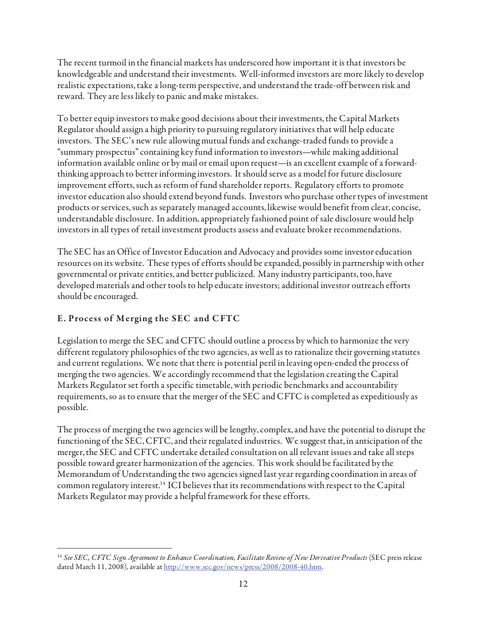The recent turmoil in the financial markets has underscored how important it is that investors be knowledgeable and understand their investments. Well-informed investors are more likely to develop realistic expectations, take a long-term perspective, and understand the trade-off between risk and reward. They are less likely to panic and make mistakes.

To better equip investors to make good decisions about their investments, the Capital Markets Regulator should assign a high priority to pursuing regulatory initiatives that will help educate investors. The SEC's new rule allowing mutual funds and exchange-traded funds to provide a "summary prospectus" containing key fund information to investors—while making additional information available online or by mail or email upon request—is an excellent example of a forwardthinking approach to better informing investors. It should serve as a model for future disclosure improvement efforts, such as reform of fund shareholder reports. Regulatory efforts to promote investor education also should extend beyond funds. Investors who purchase other types of investment products or services, such as separately managed accounts, likewise would benefit from clear, concise, understandable disclosure. In addition, appropriately fashioned point of sale disclosure would help investors in all types of retail investment products assess and evaluate broker recommendations.

The SEC has an Office of Investor Education and Advocacy and provides some investor education resources on its website. These types of efforts should be expanded, possibly in partnership with other governmental or private entities, and better publicized. Many industry participants, too, have developed materials and other tools to help educate investors; additional investor outreach efforts should be encouraged.

# E. Process of Merging the SEC and CFTC

Legislation to merge the SEC and CFTC should outline a process by which to harmonize the very different regulatory philosophies of the two agencies, as well as to rationalize their governing statutes and current regulations. We note that there is potential peril in leaving open-ended the process of merging the two agencies. We accordingly recommend that the legislation creating the Capital Markets Regulator set forth a specific timetable, with periodic benchmarks and accountability requirements, so as to ensure that the merger of the SEC and CFTC is completed as expeditiously as possible.

The process of merging the two agencies will be lengthy, complex, and have the potential to disrupt the functioning of the SEC, CFTC, and their regulated industries. We suggest that, in anticipation of the merger, the SEC and CFTC undertake detailed consultation on all relevant issues and take all steps possible toward greater harmonization of the agencies. This work should be facilitated by the Memorandum of Understanding the two agencies signed last year regarding coordination in areas of common regulatory interest.14 ICI believes that its recommendations with respect to the Capital Markets Regulator may provide a helpful framework for these efforts.

 $\overline{a}$  $14$  See SEC, CFTC Sign Agreement to Enhance Coordination, Facilitate Review of New Derivative Products (SEC press release dated March 11, 2008), available at http://www.sec.gov/news/press/2008/2008-40.htm.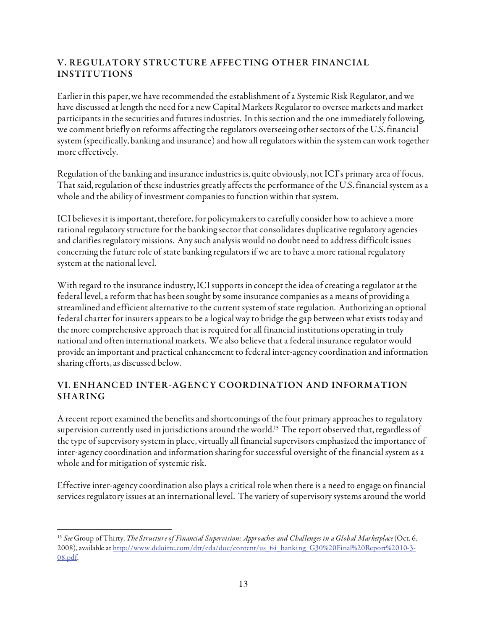## V. REGULATORY STRUCTURE AFFECTING OTHER FINANCIAL INSTITUTIONS

Earlier in this paper, we have recommended the establishment of a Systemic Risk Regulator, and we have discussed at length the need for a new Capital Markets Regulator to oversee markets and market participants in the securities and futures industries. In this section and the one immediately following, we comment briefly on reforms affecting the regulators overseeing other sectors of the U.S. financial system (specifically, banking and insurance) and how all regulators within the system can work together more effectively.

Regulation of the banking and insurance industries is, quite obviously, not ICI's primary area of focus. That said, regulation of these industries greatly affects the performance of the U.S. financial system as a whole and the ability of investment companies to function within that system.

ICI believes it is important, therefore, for policymakers to carefully consider how to achieve a more rational regulatory structure for the banking sector that consolidates duplicative regulatory agencies and clarifies regulatory missions. Any such analysis would no doubt need to address difficult issues concerning the future role of state banking regulators if we are to have a more rational regulatory system at the national level.

With regard to the insurance industry, ICI supports in concept the idea of creating a regulator at the federal level, a reform that has been sought by some insurance companies as a means of providing a streamlined and efficient alternative to the current system of state regulation. Authorizing an optional federal charter for insurers appears to be a logical way to bridge the gap between what exists today and the more comprehensive approach that is required for all financial institutions operating in truly national and often international markets. We also believe that a federal insurance regulator would provide an important and practical enhancement to federal inter-agency coordination and information sharing efforts, as discussed below.

### VI. ENHANC ED INTER-AGENC Y C OORDINATION AND INFORM ATION SHARING

A recent report examined the benefits and shortcomings of the four primary approaches to regulatory supervision currently used in jurisdictions around the world.15 The report observed that, regardless of the type of supervisory system in place, virtually all financial supervisors emphasized the importance of inter-agency coordination and information sharing for successful oversight of the financial system as a whole and for mitigation of systemic risk.

Effective inter-agency coordination also plays a critical role when there is a need to engage on financial services regulatory issues at an international level. The variety of supervisory systems around the world

<sup>-</sup><sup>15</sup> See Group of Thirty, The Structure of Financial Supervision: Approaches and Challenges in a Global Marketplace (Oct. 6, 2008), available at http://www.deloitte.com/dtt/cda/doc/content/us\_fsi\_banking\_G30%20Final%20Report%2010-3-08.pdf.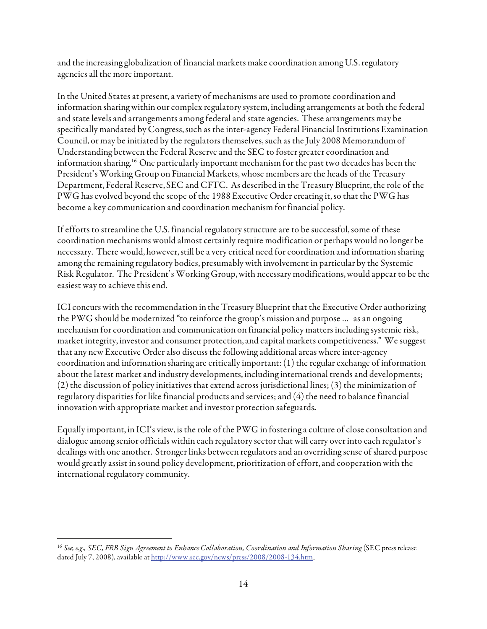and the increasing globalization of financial markets make coordination among U.S. regulatory agencies all the more important.

In the United States at present, a variety of mechanisms are used to promote coordination and information sharing within our complex regulatory system, including arrangements at both the federal and state levels and arrangements among federal and state agencies. These arrangements may be specifically mandated by Congress, such as the inter-agency Federal Financial Institutions Examination Council, or may be initiated by the regulators themselves, such as the July 2008 Memorandum of Understanding between the Federal Reserve and the SEC to foster greater coordination and information sharing.16 One particularly important mechanism for the past two decades has been the President's Working Group on Financial Markets, whose members are the heads of the Treasury Department, Federal Reserve, SEC and CFTC. As described in the Treasury Blueprint, the role of the PWG has evolved beyond the scope of the 1988 Executive Order creating it, so that the PWG has become a key communication and coordination mechanism for financial policy.

If efforts to streamline the U.S. financial regulatory structure are to be successful, some of these coordination mechanisms would almost certainly require modification or perhaps would no longer be necessary. There would, however, still be a very critical need for coordination and information sharing among the remaining regulatory bodies, presumably with involvement in particular by the Systemic Risk Regulator. The President's Working Group, with necessary modifications, would appear to be the easiest way to achieve this end.

ICI concurs with the recommendation in the Treasury Blueprint that the Executive Order authorizing the PWG should be modernized "to reinforce the group's mission and purpose … as an ongoing mechanism for coordination and communication on financial policy matters including systemic risk, market integrity, investor and consumer protection, and capital markets competitiveness." We suggest that any new Executive Order also discuss the following additional areas where inter-agency coordination and information sharing are critically important: (1) the regular exchange of information about the latest market and industry developments, including international trends and developments; (2) the discussion of policy initiatives that extend across jurisdictional lines; (3) the minimization of regulatory disparities for like financial products and services; and (4) the need to balance financial innovation with appropriate market and investor protection safeguards.

Equally important, in ICI's view, is the role of the PWG in fostering a culture of close consultation and dialogue among senior officials within each regulatory sector that will carry over into each regulator's dealings with one another. Stronger links between regulators and an overriding sense of shared purpose would greatly assist in sound policy development, prioritization of effort, and cooperation with the international regulatory community.

 $\overline{a}$ <sup>16</sup> See, e.g., SEC, FRB Sign Agreement to Enhance Collaboration, Coordination and Information Sharing (SEC press release dated July 7, 2008), available at http://www.sec.gov/news/press/2008/2008-134.htm.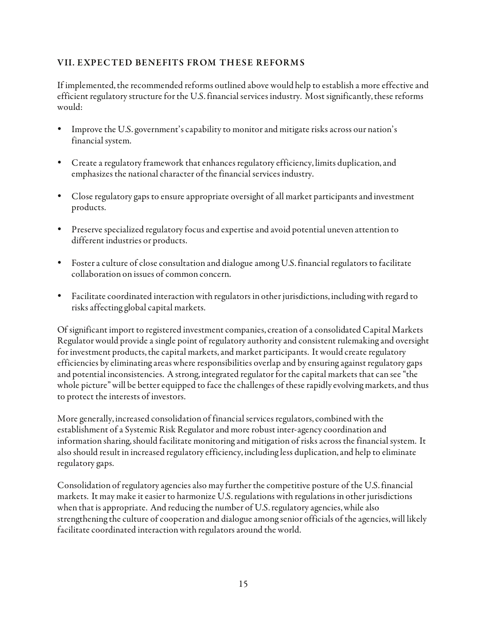### VII. EXPEC TED BENEFITS FROM THESE REFORM S

If implemented, the recommended reforms outlined above would help to establish a more effective and efficient regulatory structure for the U.S. financial services industry. Most significantly, these reforms would:

- Improve the U.S. government's capability to monitor and mitigate risks across our nation's financial system.
- Create a regulatory framework that enhances regulatory efficiency, limits duplication, and emphasizes the national character of the financial services industry.
- Close regulatory gaps to ensure appropriate oversight of all market participants and investment products.
- Preserve specialized regulatory focus and expertise and avoid potential uneven attention to different industries or products.
- Foster a culture of close consultation and dialogue among U.S. financial regulators to facilitate collaboration on issues of common concern.
- Facilitate coordinated interaction with regulators in other jurisdictions, including with regard to risks affecting global capital markets.

Of significant import to registered investment companies, creation of a consolidated Capital Markets Regulator would provide a single point of regulatory authority and consistent rulemaking and oversight for investment products, the capital markets, and market participants. It would create regulatory efficiencies by eliminating areas where responsibilities overlap and by ensuring against regulatory gaps and potential inconsistencies. A strong, integrated regulator for the capital markets that can see "the whole picture" will be better equipped to face the challenges of these rapidly evolving markets, and thus to protect the interests of investors.

More generally, increased consolidation of financial services regulators, combined with the establishment of a Systemic Risk Regulator and more robust inter-agency coordination and information sharing, should facilitate monitoring and mitigation of risks across the financial system. It also should result in increased regulatory efficiency, including less duplication, and help to eliminate regulatory gaps.

Consolidation of regulatory agencies also may further the competitive posture of the U.S. financial markets. It may make it easier to harmonize U.S. regulations with regulations in other jurisdictions when that is appropriate. And reducing the number of U.S. regulatory agencies, while also strengthening the culture of cooperation and dialogue among senior officials of the agencies, will likely facilitate coordinated interaction with regulators around the world.